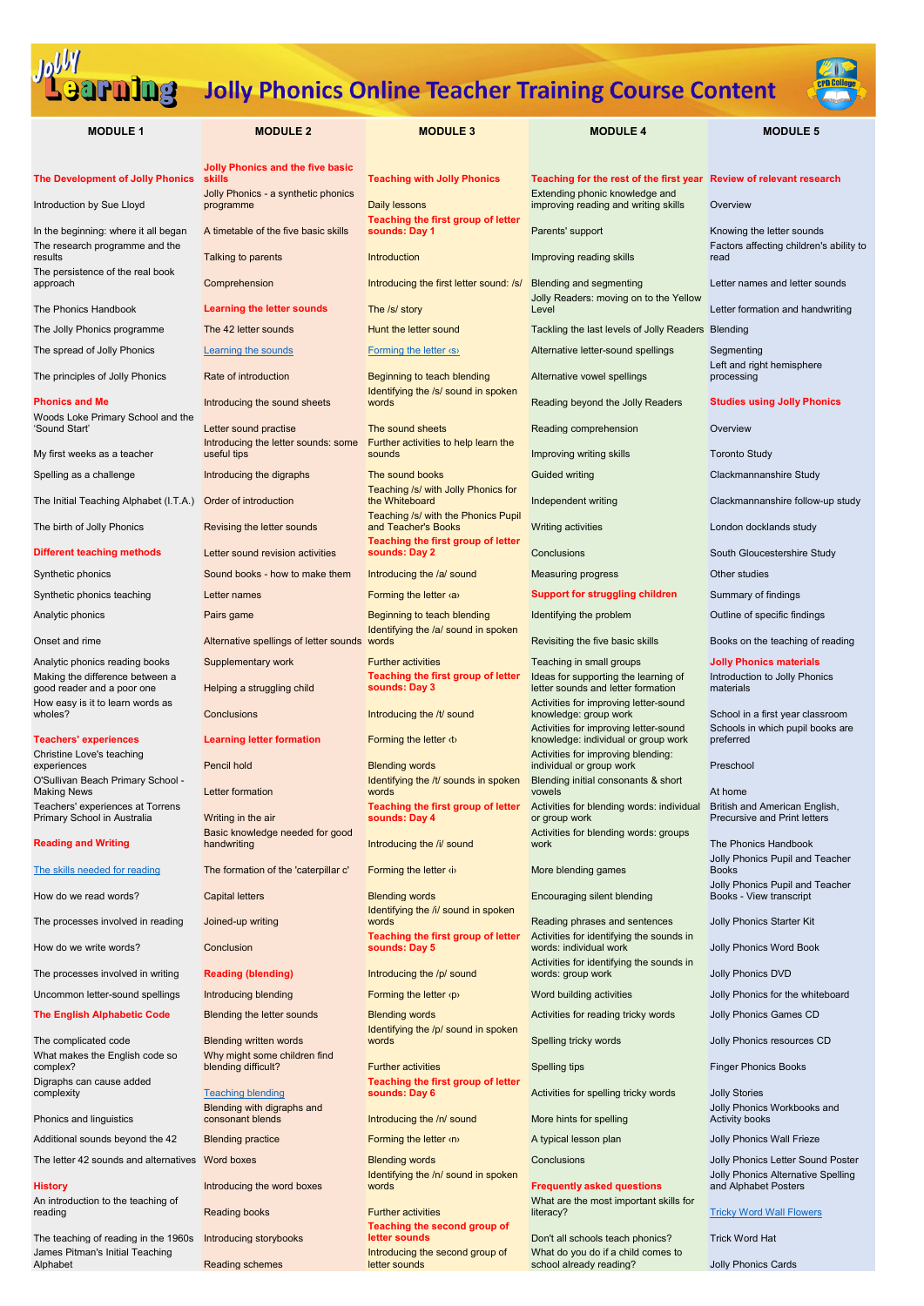

| <b>MODULE 1</b>                                                               | <b>MODULE 2</b>                                                                                              | <b>MODULE 3</b>                                                          | <b>MODULE 4</b>                                                                                                                               | <b>MODULE 5</b>                                                      |
|-------------------------------------------------------------------------------|--------------------------------------------------------------------------------------------------------------|--------------------------------------------------------------------------|-----------------------------------------------------------------------------------------------------------------------------------------------|----------------------------------------------------------------------|
| <b>The Development of Jolly Phonics</b><br>Introduction by Sue Lloyd          | <b>Jolly Phonics and the five basic</b><br><b>skills</b><br>Jolly Phonics - a synthetic phonics<br>programme | <b>Teaching with Jolly Phonics</b><br>Daily lessons                      | Teaching for the rest of the first year Review of relevant research<br>Extending phonic knowledge and<br>improving reading and writing skills | Overview                                                             |
| In the beginning: where it all began                                          | A timetable of the five basic skills                                                                         | Teaching the first group of letter<br>sounds: Day 1                      | Parents' support                                                                                                                              | Knowing the letter sounds                                            |
| The research programme and the<br>results<br>The persistence of the real book | Talking to parents                                                                                           | Introduction                                                             | Improving reading skills                                                                                                                      | Factors affecting children's ability to<br>read                      |
| approach                                                                      | Comprehension                                                                                                | Introducing the first letter sound: /s/                                  | <b>Blending and segmenting</b><br>Jolly Readers: moving on to the Yellow                                                                      | Letter names and letter sounds                                       |
| The Phonics Handbook                                                          | <b>Learning the letter sounds</b>                                                                            | The /s/ story                                                            | Level                                                                                                                                         | Letter formation and handwriting                                     |
| The Jolly Phonics programme                                                   | The 42 letter sounds                                                                                         | Hunt the letter sound                                                    | Tackling the last levels of Jolly Readers Blending                                                                                            |                                                                      |
| The spread of Jolly Phonics                                                   | <b>Learning the sounds</b>                                                                                   | <b>Forming the letter (S)</b>                                            | Alternative letter-sound spellings                                                                                                            | Segmenting<br>Left and right hemisphere                              |
| The principles of Jolly Phonics                                               | Rate of introduction                                                                                         | Beginning to teach blending<br>Identifying the /s/ sound in spoken       | Alternative vowel spellings                                                                                                                   | processing                                                           |
| <b>Phonics and Me</b><br>Woods Loke Primary School and the                    | Introducing the sound sheets                                                                                 | words                                                                    | Reading beyond the Jolly Readers                                                                                                              | <b>Studies using Jolly Phonics</b>                                   |
| 'Sound Start'                                                                 | Letter sound practise<br>Introducing the letter sounds: some                                                 | The sound sheets<br>Further activities to help learn the                 | Reading comprehension                                                                                                                         | Overview                                                             |
| My first weeks as a teacher                                                   | useful tips                                                                                                  | sounds                                                                   | Improving writing skills                                                                                                                      | <b>Toronto Study</b>                                                 |
| Spelling as a challenge<br>The Initial Teaching Alphabet (I.T.A.)             | Introducing the digraphs<br>Order of introduction                                                            | The sound books<br>Teaching /s/ with Jolly Phonics for<br>the Whiteboard | <b>Guided writing</b><br>Independent writing                                                                                                  | Clackmannanshire Study<br>Clackmannanshire follow-up study           |
|                                                                               |                                                                                                              | Teaching /s/ with the Phonics Pupil                                      |                                                                                                                                               |                                                                      |
| The birth of Jolly Phonics                                                    | Revising the letter sounds                                                                                   | and Teacher's Books<br>Teaching the first group of letter                | Writing activities                                                                                                                            | London docklands study                                               |
| <b>Different teaching methods</b>                                             | Letter sound revision activities                                                                             | sounds: Day 2                                                            | Conclusions                                                                                                                                   | South Gloucestershire Study                                          |
| Synthetic phonics                                                             | Sound books - how to make them                                                                               | Introducing the /a/ sound                                                | <b>Measuring progress</b>                                                                                                                     | Other studies                                                        |
| Synthetic phonics teaching                                                    | Letter names                                                                                                 | Forming the letter <a></a>                                               | <b>Support for struggling children</b>                                                                                                        | Summary of findings                                                  |
| Analytic phonics                                                              | Pairs game                                                                                                   | Beginning to teach blending<br>Identifying the /a/ sound in spoken       | Identifying the problem                                                                                                                       | Outline of specific findings                                         |
| Onset and rime                                                                | Alternative spellings of letter sounds                                                                       | words                                                                    | Revisiting the five basic skills                                                                                                              | Books on the teaching of reading                                     |
| Analytic phonics reading books<br>Making the difference between a             | Supplementary work                                                                                           | <b>Further activities</b><br>Teaching the first group of letter          | Teaching in small groups<br>Ideas for supporting the learning of                                                                              | <b>Jolly Phonics materials</b><br>Introduction to Jolly Phonics      |
| good reader and a poor one<br>How easy is it to learn words as                | Helping a struggling child                                                                                   | sounds: Day 3                                                            | letter sounds and letter formation<br>Activities for improving letter-sound                                                                   | materials                                                            |
| wholes?                                                                       | Conclusions                                                                                                  | Introducing the /t/ sound                                                | knowledge: group work<br>Activities for improving letter-sound                                                                                | School in a first year classroom<br>Schools in which pupil books are |
| <b>Teachers' experiences</b><br>Christine Love's teaching                     | <b>Learning letter formation</b>                                                                             | Forming the letter $\langle t \rangle$                                   | knowledge: individual or group work<br>Activities for improving blending:                                                                     | preferred                                                            |
| experiences                                                                   | Pencil hold                                                                                                  | <b>Blending words</b>                                                    | individual or group work                                                                                                                      | Preschool                                                            |
| O'Sullivan Beach Primary School -<br><b>Making News</b>                       | Letter formation                                                                                             | Identifying the /t/ sounds in spoken<br>words                            | Blending initial consonants & short<br>vowels                                                                                                 | At home                                                              |
| Teachers' experiences at Torrens<br>Primary School in Australia               | Writing in the air                                                                                           | Teaching the first group of letter<br>sounds: Day 4                      | Activities for blending words: individual<br>or group work                                                                                    | British and American English,<br><b>Precursive and Print letters</b> |
| <b>Reading and Writing</b>                                                    | Basic knowledge needed for good<br>handwriting                                                               | Introducing the /i/ sound                                                | Activities for blending words: groups<br>work                                                                                                 | The Phonics Handbook<br>Jolly Phonics Pupil and Teacher              |
| The skills needed for reading                                                 | The formation of the 'caterpillar c'                                                                         | Forming the letter (i)                                                   | More blending games                                                                                                                           | <b>Books</b>                                                         |
| How do we read words?                                                         | <b>Capital letters</b>                                                                                       | <b>Blending words</b><br>Identifying the /i/ sound in spoken             | Encouraging silent blending                                                                                                                   | Jolly Phonics Pupil and Teacher<br>Books - View transcript           |
| The processes involved in reading                                             | Joined-up writing                                                                                            | words                                                                    | Reading phrases and sentences                                                                                                                 | Jolly Phonics Starter Kit                                            |
| How do we write words?                                                        | Conclusion                                                                                                   | <b>Teaching the first group of letter</b><br>sounds: Day 5               | Activities for identifying the sounds in<br>words: individual work                                                                            | Jolly Phonics Word Book                                              |
| The processes involved in writing                                             | <b>Reading (blending)</b>                                                                                    | Introducing the /p/ sound                                                | Activities for identifying the sounds in<br>words: group work                                                                                 | Jolly Phonics DVD                                                    |

Uncommon letter-sound spellings Introducing blending **Forming the letter <p>>**Word building activities
Inter-sound spellings
Introducing blending
Torming the letter <p>
Interactivities
Inter-sound spellings

Introducing b

The complicated code Blending written words What makes the English code so complex?

**blending differential terms** Spelling tips Further activities Sooks Finger Phonics Books **Teaching the first group of letter** 

Introducing the /n/ sound More hints for spelling

Identifying the /n/ sound in spoken **Frequently asked questions** 

The teaching of reading in the 1960s Introducing storybooks James Pitman's Initial Teaching

Why might some children find<br>blending difficult?

# **[Teaching blending](https://content-jollyphonicsuk.cpdcollege.com/Teaching_Blending)**

Digraphs can cause added

Phonics and linguistics

Additional sounds beyond the 42 Blending practice **Forming the letter <n>** A typical lesson plan Jolly Phonics Wall Frieze

An introduction to the teaching of<br>reading

Blending with digraphs and

The letter 42 sounds and alternatives Word boxes **Blending words** Blending words Conclusions Conclusions Jolly Phonics Letter Sound Poster

**History Introducing the word boxes Reading books Further activities** 

Reading schemes

Identifying the /p/ sound in spoken<br>words

Jolly Phonics Workbooks and Activity books

Jolly Phonics Alternative Spelling and Alphabet Posters

**Tricky Word Wall Flowers** 

**Teaching the second group of** 

Introducing the second group of letter sounds

The English Alphabetic Code Blending the letter sounds Blending words Activities for reading tricky words Jolly Phonics Games CD

**Activities for spelling tricky words Jolly Stories** 

What are the most important skills for literacy?

**Don't all schools teach phonics?** Trick Word Hat What do you do if a child comes to school already reading? Jolly Phonics Cards

Spelling tricky words **Spelling** tricky words Jolly Phonics resources CD